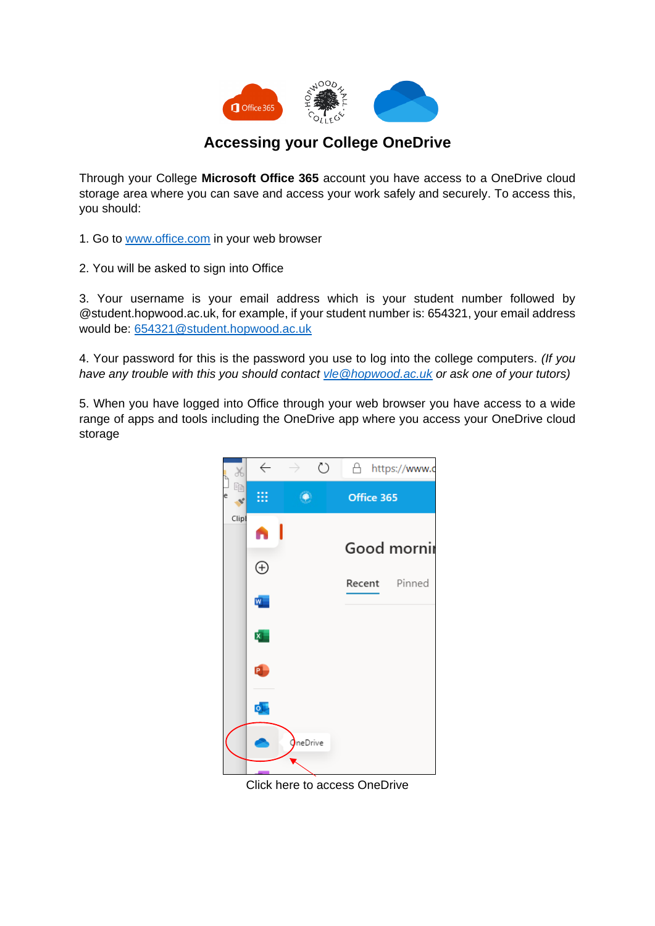

## **Accessing your College OneDrive**

Through your College **Microsoft Office 365** account you have access to a OneDrive cloud storage area where you can save and access your work safely and securely. To access this, you should:

1. Go to [www.office.com](http://www.office.com/) in your web browser

2. You will be asked to sign into Office

3. Your username is your email address which is your student number followed by @student.hopwood.ac.uk, for example, if your student number is: 654321, your email address would be: [654321@student.hopwood.ac.uk](mailto:654321@student.hopwood.ac.uk)

4. Your password for this is the password you use to log into the college computers. *(If you have any trouble with this you should contact [vle@hopwood.ac.uk](mailto:vle@hopwood.ac.uk) or ask one of your tutors)*

5. When you have logged into Office through your web browser you have access to a wide range of apps and tools including the OneDrive app where you access your OneDrive cloud storage



Click here to access OneDrive